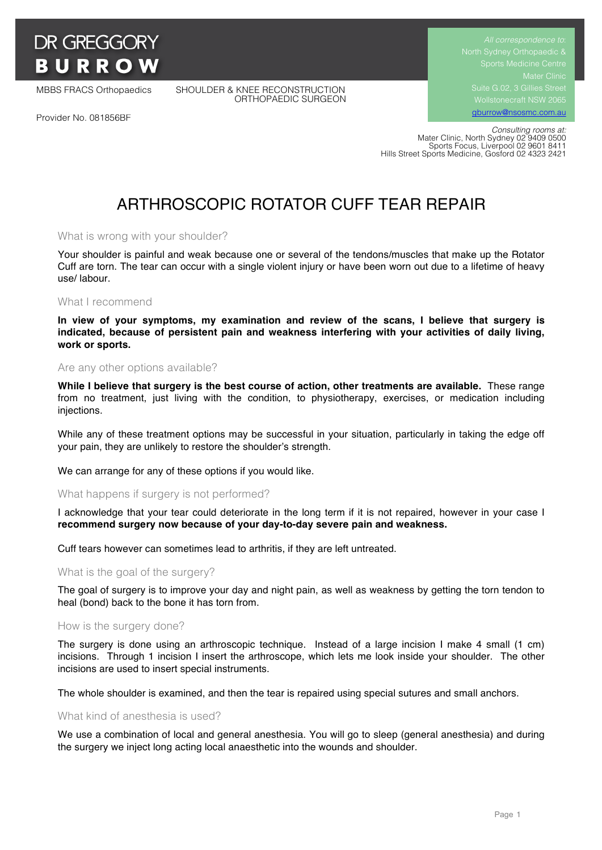

MBBS FRACS Orthopaedics SHOULDER & KNEE RECONSTRUCTION ORTHOPAEDIC SURGEON Suite G.02, 3 Gillies Street Wollstonecraft NSW 2065 gburrow@nsosmc.com.au

Provider No. 081856BF

 *Consulting rooms at:* Mater Clinic, North Sydney 02 9409 0500 Sports Focus, Liverpool 02 9601 8411 Hills Street Sports Medicine, Gosford 02 4323 2421

# ARTHROSCOPIC ROTATOR CUFF TEAR REPAIR

## What is wrong with your shoulder?

Your shoulder is painful and weak because one or several of the tendons/muscles that make up the Rotator Cuff are torn. The tear can occur with a single violent injury or have been worn out due to a lifetime of heavy use/ labour.

#### What I recommend

**In view of your symptoms, my examination and review of the scans, I believe that surgery is indicated, because of persistent pain and weakness interfering with your activities of daily living, work or sports.**

## Are any other options available?

**While I believe that surgery is the best course of action, other treatments are available.** These range from no treatment, just living with the condition, to physiotherapy, exercises, or medication including injections.

While any of these treatment options may be successful in your situation, particularly in taking the edge off your pain, they are unlikely to restore the shoulder's strength.

We can arrange for any of these options if you would like.

## What happens if surgery is not performed?

I acknowledge that your tear could deteriorate in the long term if it is not repaired, however in your case I **recommend surgery now because of your day-to-day severe pain and weakness.**

Cuff tears however can sometimes lead to arthritis, if they are left untreated.

## What is the goal of the surgery?

The goal of surgery is to improve your day and night pain, as well as weakness by getting the torn tendon to heal (bond) back to the bone it has torn from.

#### How is the surgery done?

The surgery is done using an arthroscopic technique. Instead of a large incision I make 4 small (1 cm) incisions. Through 1 incision I insert the arthroscope, which lets me look inside your shoulder. The other incisions are used to insert special instruments.

The whole shoulder is examined, and then the tear is repaired using special sutures and small anchors.

## What kind of anesthesia is used?

We use a combination of local and general anesthesia. You will go to sleep (general anesthesia) and during the surgery we inject long acting local anaesthetic into the wounds and shoulder.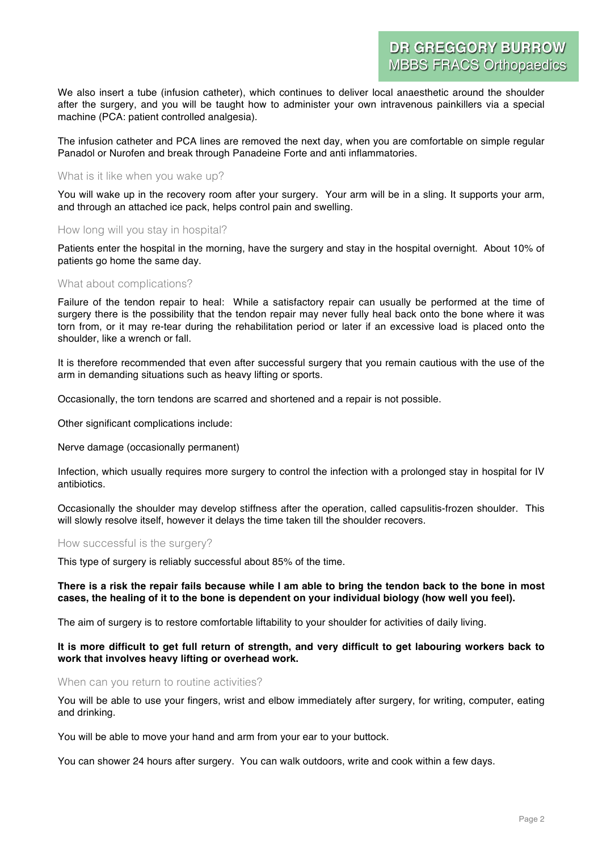We also insert a tube (infusion catheter), which continues to deliver local anaesthetic around the shoulder after the surgery, and you will be taught how to administer your own intravenous painkillers via a special machine (PCA: patient controlled analgesia).

The infusion catheter and PCA lines are removed the next day, when you are comfortable on simple regular Panadol or Nurofen and break through Panadeine Forte and anti inflammatories.

## What is it like when you wake up?

You will wake up in the recovery room after your surgery. Your arm will be in a sling. It supports your arm, and through an attached ice pack, helps control pain and swelling.

## How long will you stay in hospital?

Patients enter the hospital in the morning, have the surgery and stay in the hospital overnight. About 10% of patients go home the same day.

## What about complications?

Failure of the tendon repair to heal: While a satisfactory repair can usually be performed at the time of surgery there is the possibility that the tendon repair may never fully heal back onto the bone where it was torn from, or it may re-tear during the rehabilitation period or later if an excessive load is placed onto the shoulder, like a wrench or fall.

It is therefore recommended that even after successful surgery that you remain cautious with the use of the arm in demanding situations such as heavy lifting or sports.

Occasionally, the torn tendons are scarred and shortened and a repair is not possible.

Other significant complications include:

Nerve damage (occasionally permanent)

Infection, which usually requires more surgery to control the infection with a prolonged stay in hospital for IV antibiotics.

Occasionally the shoulder may develop stiffness after the operation, called capsulitis-frozen shoulder. This will slowly resolve itself, however it delays the time taken till the shoulder recovers.

## How successful is the surgery?

This type of surgery is reliably successful about 85% of the time.

## **There is a risk the repair fails because while I am able to bring the tendon back to the bone in most cases, the healing of it to the bone is dependent on your individual biology (how well you feel).**

The aim of surgery is to restore comfortable liftability to your shoulder for activities of daily living.

## **It is more difficult to get full return of strength, and very difficult to get labouring workers back to work that involves heavy lifting or overhead work.**

## When can you return to routine activities?

You will be able to use your fingers, wrist and elbow immediately after surgery, for writing, computer, eating and drinking.

You will be able to move your hand and arm from your ear to your buttock.

You can shower 24 hours after surgery. You can walk outdoors, write and cook within a few days.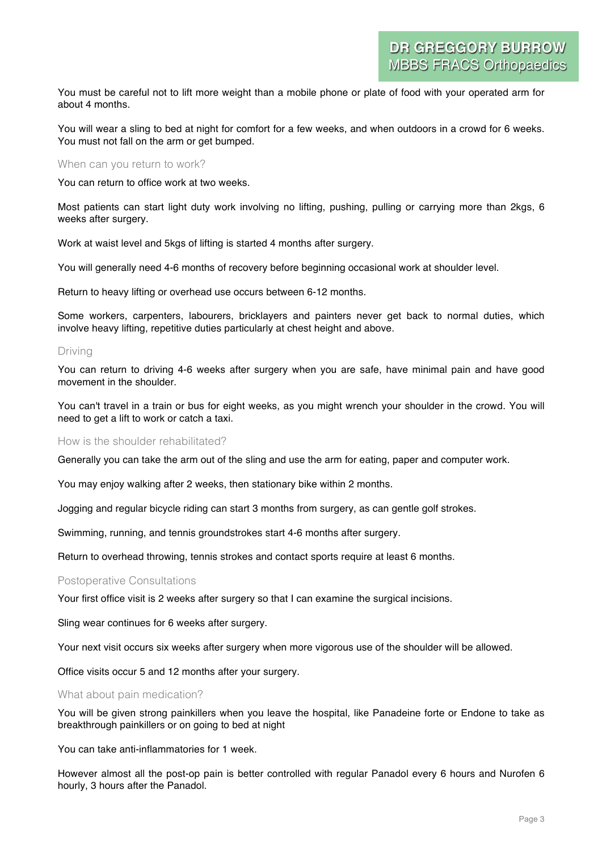You must be careful not to lift more weight than a mobile phone or plate of food with your operated arm for about 4 months.

You will wear a sling to bed at night for comfort for a few weeks, and when outdoors in a crowd for 6 weeks. You must not fall on the arm or get bumped.

## When can you return to work?

You can return to office work at two weeks.

Most patients can start light duty work involving no lifting, pushing, pulling or carrying more than 2kgs, 6 weeks after surgery.

Work at waist level and 5kgs of lifting is started 4 months after surgery.

You will generally need 4-6 months of recovery before beginning occasional work at shoulder level.

Return to heavy lifting or overhead use occurs between 6-12 months.

Some workers, carpenters, labourers, bricklayers and painters never get back to normal duties, which involve heavy lifting, repetitive duties particularly at chest height and above.

## Driving

You can return to driving 4-6 weeks after surgery when you are safe, have minimal pain and have good movement in the shoulder.

You can't travel in a train or bus for eight weeks, as you might wrench your shoulder in the crowd. You will need to get a lift to work or catch a taxi.

## How is the shoulder rehabilitated?

Generally you can take the arm out of the sling and use the arm for eating, paper and computer work.

You may enjoy walking after 2 weeks, then stationary bike within 2 months.

Jogging and regular bicycle riding can start 3 months from surgery, as can gentle golf strokes.

Swimming, running, and tennis groundstrokes start 4-6 months after surgery.

Return to overhead throwing, tennis strokes and contact sports require at least 6 months.

## Postoperative Consultations

Your first office visit is 2 weeks after surgery so that I can examine the surgical incisions.

Sling wear continues for 6 weeks after surgery.

Your next visit occurs six weeks after surgery when more vigorous use of the shoulder will be allowed.

Office visits occur 5 and 12 months after your surgery.

## What about pain medication?

You will be given strong painkillers when you leave the hospital, like Panadeine forte or Endone to take as breakthrough painkillers or on going to bed at night

You can take anti-inflammatories for 1 week.

However almost all the post-op pain is better controlled with regular Panadol every 6 hours and Nurofen 6 hourly, 3 hours after the Panadol.